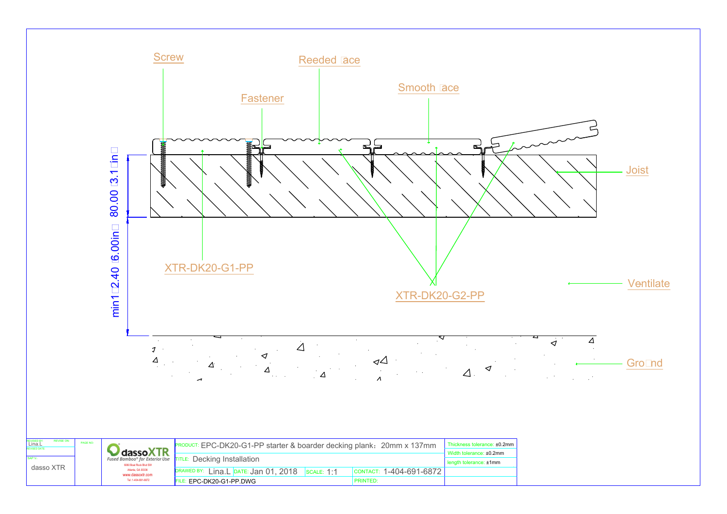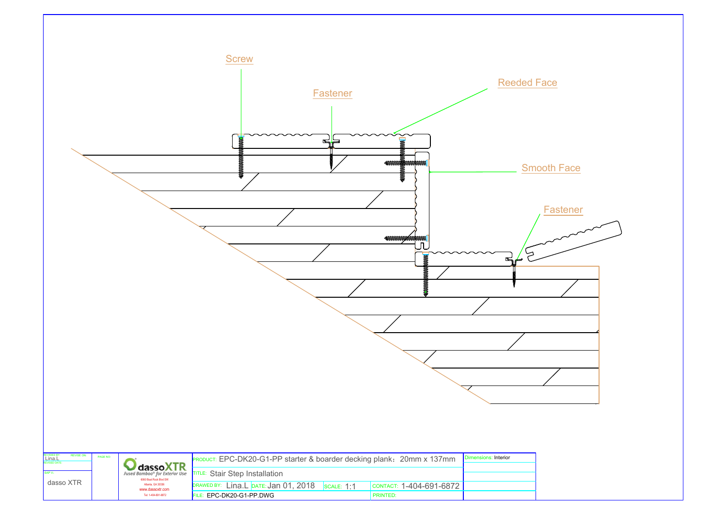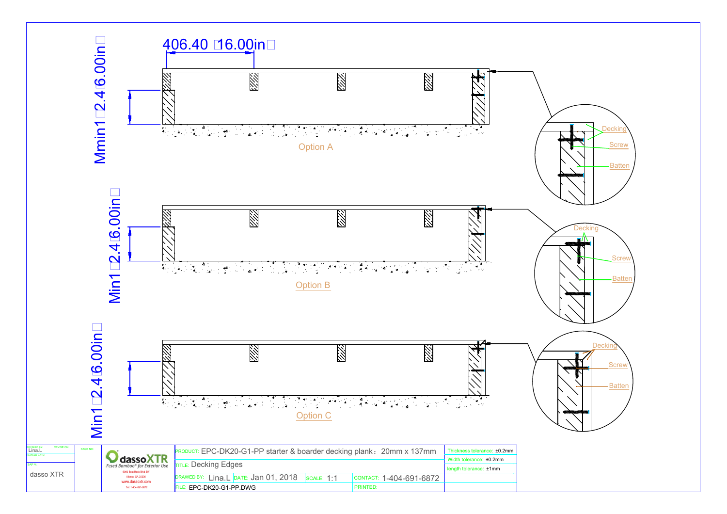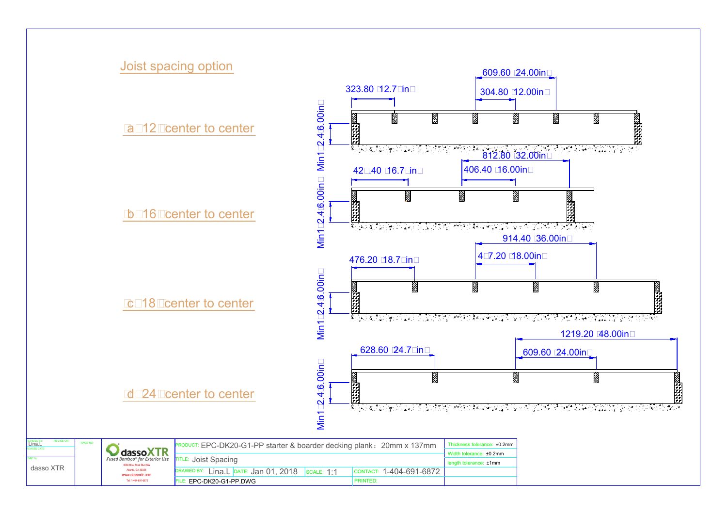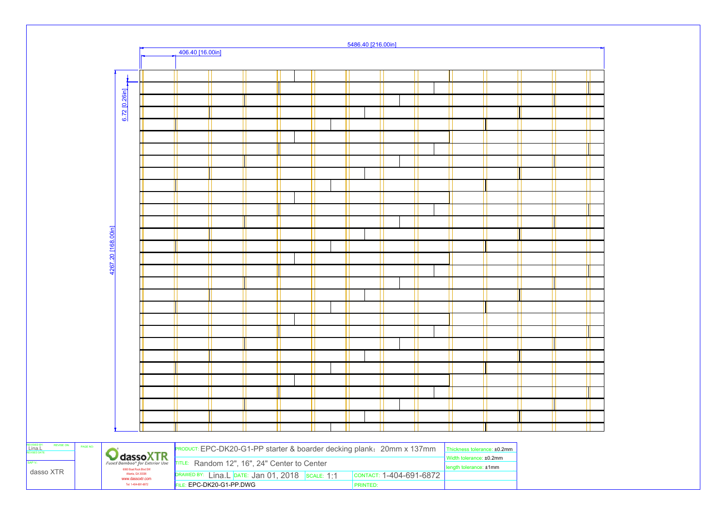|                        |                    |                                                                 |                 |                                                                       |                                              |                                                 |  |  |  | 5486.40 [216.00in] |                 |  |                         |                        |                                                        |  |  |
|------------------------|--------------------|-----------------------------------------------------------------|-----------------|-----------------------------------------------------------------------|----------------------------------------------|-------------------------------------------------|--|--|--|--------------------|-----------------|--|-------------------------|------------------------|--------------------------------------------------------|--|--|
|                        |                    |                                                                 |                 | 406.40 [16.00in]                                                      |                                              |                                                 |  |  |  |                    |                 |  |                         |                        |                                                        |  |  |
|                        |                    |                                                                 |                 |                                                                       |                                              |                                                 |  |  |  |                    |                 |  |                         |                        |                                                        |  |  |
|                        |                    |                                                                 |                 |                                                                       |                                              |                                                 |  |  |  |                    |                 |  |                         |                        |                                                        |  |  |
|                        |                    |                                                                 |                 |                                                                       |                                              |                                                 |  |  |  |                    |                 |  |                         |                        |                                                        |  |  |
|                        |                    |                                                                 |                 |                                                                       |                                              |                                                 |  |  |  |                    |                 |  |                         |                        |                                                        |  |  |
|                        |                    | 6.72 [0.26in]                                                   |                 |                                                                       |                                              |                                                 |  |  |  |                    |                 |  |                         |                        |                                                        |  |  |
|                        |                    |                                                                 |                 |                                                                       |                                              |                                                 |  |  |  |                    |                 |  |                         |                        |                                                        |  |  |
|                        |                    |                                                                 |                 |                                                                       |                                              |                                                 |  |  |  |                    |                 |  |                         |                        |                                                        |  |  |
|                        |                    |                                                                 |                 |                                                                       |                                              |                                                 |  |  |  |                    |                 |  |                         |                        |                                                        |  |  |
|                        |                    |                                                                 |                 |                                                                       |                                              |                                                 |  |  |  |                    |                 |  |                         |                        |                                                        |  |  |
|                        |                    |                                                                 |                 |                                                                       |                                              |                                                 |  |  |  |                    |                 |  |                         |                        |                                                        |  |  |
|                        |                    |                                                                 |                 |                                                                       |                                              |                                                 |  |  |  |                    |                 |  |                         |                        |                                                        |  |  |
|                        |                    |                                                                 |                 |                                                                       |                                              |                                                 |  |  |  |                    |                 |  |                         |                        |                                                        |  |  |
|                        |                    |                                                                 |                 |                                                                       |                                              |                                                 |  |  |  |                    |                 |  |                         |                        |                                                        |  |  |
|                        |                    |                                                                 |                 |                                                                       |                                              |                                                 |  |  |  |                    |                 |  |                         |                        |                                                        |  |  |
|                        |                    |                                                                 |                 |                                                                       |                                              |                                                 |  |  |  |                    |                 |  |                         |                        |                                                        |  |  |
|                        |                    |                                                                 |                 |                                                                       |                                              |                                                 |  |  |  |                    |                 |  |                         |                        |                                                        |  |  |
|                        | 4267.20 [168.00in] |                                                                 |                 |                                                                       |                                              |                                                 |  |  |  |                    |                 |  |                         |                        |                                                        |  |  |
|                        |                    |                                                                 |                 |                                                                       |                                              |                                                 |  |  |  |                    |                 |  |                         |                        |                                                        |  |  |
|                        |                    |                                                                 |                 |                                                                       |                                              |                                                 |  |  |  |                    |                 |  |                         |                        |                                                        |  |  |
|                        |                    |                                                                 |                 |                                                                       |                                              |                                                 |  |  |  |                    |                 |  |                         |                        |                                                        |  |  |
|                        |                    |                                                                 |                 |                                                                       |                                              |                                                 |  |  |  |                    |                 |  |                         |                        |                                                        |  |  |
|                        |                    |                                                                 |                 |                                                                       |                                              |                                                 |  |  |  |                    |                 |  |                         |                        |                                                        |  |  |
|                        |                    |                                                                 |                 |                                                                       |                                              |                                                 |  |  |  |                    |                 |  |                         |                        |                                                        |  |  |
|                        |                    |                                                                 |                 |                                                                       |                                              |                                                 |  |  |  |                    |                 |  |                         |                        |                                                        |  |  |
|                        |                    |                                                                 |                 |                                                                       |                                              |                                                 |  |  |  |                    |                 |  |                         |                        |                                                        |  |  |
|                        |                    |                                                                 |                 |                                                                       |                                              |                                                 |  |  |  |                    |                 |  |                         |                        |                                                        |  |  |
|                        |                    |                                                                 |                 |                                                                       |                                              |                                                 |  |  |  |                    |                 |  |                         |                        |                                                        |  |  |
|                        |                    |                                                                 |                 |                                                                       |                                              |                                                 |  |  |  |                    |                 |  |                         |                        |                                                        |  |  |
|                        |                    |                                                                 |                 |                                                                       |                                              |                                                 |  |  |  |                    |                 |  |                         |                        |                                                        |  |  |
|                        |                    |                                                                 |                 |                                                                       |                                              |                                                 |  |  |  |                    |                 |  |                         |                        |                                                        |  |  |
|                        |                    |                                                                 |                 |                                                                       |                                              |                                                 |  |  |  |                    |                 |  |                         |                        |                                                        |  |  |
|                        |                    |                                                                 |                 |                                                                       |                                              |                                                 |  |  |  |                    |                 |  |                         |                        |                                                        |  |  |
|                        |                    |                                                                 |                 |                                                                       |                                              |                                                 |  |  |  |                    |                 |  |                         |                        |                                                        |  |  |
| REVISE ON:<br>PAGE NO: |                    |                                                                 |                 | PRODUCT: EPC-DK20-G1-PP starter & boarder decking plank: 20mm x 137mm |                                              |                                                 |  |  |  |                    |                 |  |                         |                        | Thickness tolerance: ±0.2mm<br>Width tolerance: ±0.2mm |  |  |
|                        |                    |                                                                 | <b>CassoXTR</b> |                                                                       | TITLE: Random 12", 16", 24" Center to Center |                                                 |  |  |  |                    |                 |  |                         |                        |                                                        |  |  |
| dasso XTR              |                    | 6060 Boat Rock Blvd SW<br>Atlanta, GA 30336<br>www.dassoxtr.com |                 |                                                                       |                                              | DRAWED BY: Lina.L DATE: Jan 01, 2018 SCALE: 1:1 |  |  |  |                    |                 |  | CONTACT: 1-404-691-6872 | length tolerance: ±1mm |                                                        |  |  |
|                        |                    | Tel: 1-404-691-6872                                             |                 | FILE: EPC-DK20-G1-PP.DWG                                              |                                              |                                                 |  |  |  |                    | <b>PRINTED:</b> |  |                         |                        |                                                        |  |  |